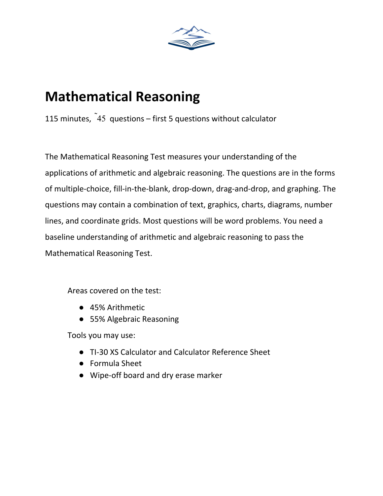

# **Mathematical Reasoning**

115 minutes,  $45$  questions – first 5 questions without calculator

The Mathematical Reasoning Test measures your understanding of the applications of arithmetic and algebraic reasoning. The questions are in the forms of multiple-choice, fill-in-the-blank, drop-down, drag-and-drop, and graphing. The questions may contain a combination of text, graphics, charts, diagrams, number lines, and coordinate grids. Most questions will be word problems. You need a baseline understanding of arithmetic and algebraic reasoning to pass the Mathematical Reasoning Test.

Areas covered on the test:

- 45% Arithmetic
- 55% Algebraic Reasoning

Tools you may use:

- TI-30 XS Calculator and Calculator Reference Sheet
- Formula Sheet
- Wipe-off board and dry erase marker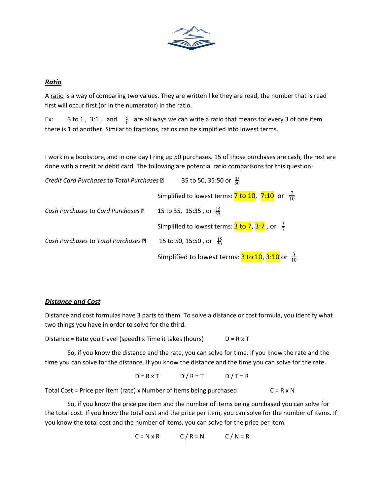

## *Ratio*

A ratio is a way of comparing two values. They are written like they are read, the number that is read first will occur first (or in the numerator) in the ratio.

Ex: 3 to 1, 3:1, and  $\frac{3}{1}$  are all ways we can write a ratio that means for every 3 of one item there is 1 of another. Similar to fractions, ratios can be simplified into lowest terms.

I work in a bookstore, and in one day I ring up 50 purchases. 15 of those purchases are cash, the rest are done with a credit or debit card. The following are potential ratio comparisons for this question:

| Credit Card Purchases to Total Purchases ? | 35 to 50, 35:50 or $\frac{35}{50}$                                                           |
|--------------------------------------------|----------------------------------------------------------------------------------------------|
|                                            | Simplified to lowest terms: $\frac{7 \text{ to } 10}{7 \cdot 10}$ or $\frac{7}{10}$          |
| Cash Purchases to Card Purchases ?         | 15 to 35, 15:35, or $\frac{15}{35}$                                                          |
|                                            | Simplified to lowest terms: $\frac{3 \text{ to } 7}{2}$ , $\frac{3:7}{2}$ , or $\frac{3}{7}$ |
| Cash Purchases to Total Purchases ?        | 15 to 50, 15:50, or $\frac{15}{50}$                                                          |
|                                            | Simplified to lowest terms: $\frac{3 \text{ to } 10}{3 \cdot 10}$ or $\frac{3}{10}$          |

## *Distance and Cost*

Distance and cost formulas have 3 parts to them. To solve a distance or cost formula, you identify what two things you have in order to solve for the third.

Distance = Rate you travel (speed) x Time it takes (hours)  $D = R \times T$ 

So, if you know the distance and the rate, you can solve for time. If you know the rate and the time you can solve for the distance. If you know the distance and the time you can solve for the rate.

 $D = R \times T$   $D / R = T$   $D / T = R$ 

Total Cost = Price per item (rate) x Number of items being purchased  $C = R \times N$ 

So, if you know the price per item and the number of items being purchased you can solve for the total cost. If you know the total cost and the price per item, you can solve for the number of items. If you know the total cost and the number of items, you can solve for the price per item.

$$
C = N \times R \qquad C / R = N \qquad C / N = R
$$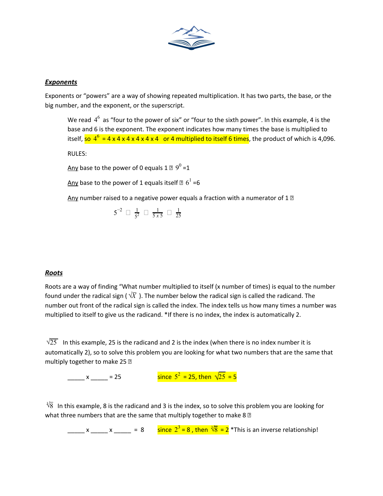

## *Exponents*

Exponents or "powers" are a way of showing repeated multiplication. It has two parts, the base, or the big number, and the exponent, or the superscript.

We read  $4^6$  as "four to the power of six" or "four to the sixth power". In this example, 4 is the base and 6 is the exponent. The exponent indicates how many times the base is multiplied to itself, <mark>so  $4^6$  = 4 x 4 x 4 x 4 x 4 x 4  $\,$  or 4 multiplied to itself 6 times</mark>, the product of which is 4,096.

RULES:

Any base to the power of 0 equals 1  $\mathbb{E}$   $9^0$  =1

Any base to the power of 1 equals itself  $\mathbb{Z}/6^1$  =6

Any number raised to a negative power equals a fraction with a numerator of 1  $\mathbb D$ 

 $5^{-2}$   $\Box$   $\frac{1}{5^{2}}$   $\Box$   $\frac{1}{5 \times 5}$   $\Box$  $\frac{1}{5^2}$   $\Box$   $\frac{1}{5x}$ 5 *x* 5 1 25

## *Roots*

Roots are a way of finding "What number multiplied to itself (x number of times) is equal to the number found under the radical sign ( $\sqrt{X}$ ). The number below the radical sign is called the radicand. The number out front of the radical sign is called the index. The index tells us how many times a number was multiplied to itself to give us the radicand. \*If there is no index, the index is automatically 2.

 $\sqrt{25}$  In this example, 25 is the radicand and 2 is the index (when there is no index number it is automatically 2), so to solve this problem you are looking for what two numbers that are the same that multiply together to make 25 ?

 $x = 25$ since  $5^2$  = 25, then  $\sqrt{25}$  = 5

 $\sqrt[3]{8}$  In this example, 8 is the radicand and 3 is the index, so to solve this problem you are looking for what three numbers that are the same that multiply together to make 8 $\mathbb B$ 

 $\frac{\sqrt{8}}{2}$  x  $\frac{\sqrt{8}}{2}$  = 8 since  $2^3$  = 8, then  $\sqrt[3]{8}$  = 2 \*This is an inverse relationship!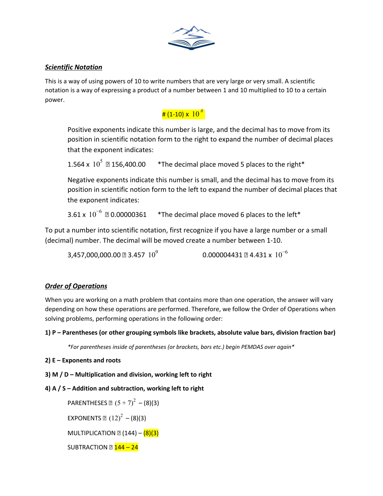

## *Scientific Notation*

This is a way of using powers of 10 to write numbers that are very large or very small. A scientific notation is a way of expressing a product of a number between 1 and 10 multiplied to 10 to a certain power.

## $^\text{\#}$  (1-10) x  $\,$   $10^{\,\text{\#}}$

Positive exponents indicate this number is large, and the decimal has to move from its position in scientific notation form to the right to expand the number of decimal places that the exponent indicates:

1.564 x  $10^5$   $\text{\textdegree}$  156,400.00  $\text{...}$  \*The decimal place moved 5 places to the right\*

Negative exponents indicate this number is small, and the decimal has to move from its position in scientific notion form to the left to expand the number of decimal places that the exponent indicates:

3.61 x  $10^{-6}$  20.00000361  $-$ \*The decimal place moved 6 places to the left\*

To put a number into scientific notation, first recognize if you have a large number or a small (decimal) number. The decimal will be moved create a number between 1-10.

3.457,000,000.00 **a** 3.457  $10^9$ <sup>9</sup> 0.000004431 4.431 x 10 −6

## *Order of Operations*

When you are working on a math problem that contains more than one operation, the answer will vary depending on how these operations are performed. Therefore, we follow the Order of Operations when solving problems, performing operations in the following order:

## **1) P – Parentheses (or other grouping symbols like brackets, absolute value bars, division fraction bar)**

*\*For parentheses inside of parentheses (or brackets, bars etc.) begin PEMDAS over again\**

- **2) E – Exponents and roots**
- **3) M / D – Multiplication and division, working left to right**
- **4) A / S – Addition and subtraction, working left to right**

PARENTHESES  $\mathbb{E}(5+7)^2 - (8)(3)$ 

EXPONENTS  $[12)^{2} - (8)(3)$ 

MULTIPLICATION  $\mathbb{E}(144) - (8)(3)$ 

SUBTRACTION  $\mathbb{Z}$   $\frac{144 - 24}{140}$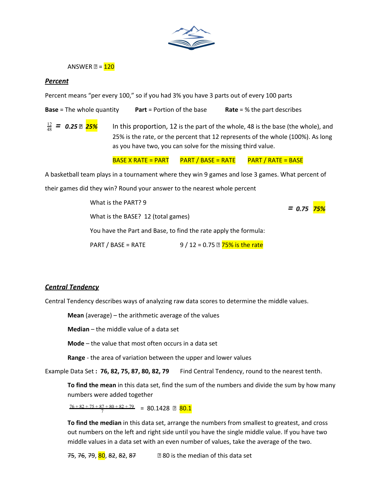

ANSWER  $\mathbb{E} = 120$ 

#### *Percent*

Percent means "per every 100," so if you had 3% you have 3 parts out of every 100 parts

**Base** = The whole quantity **Part** = Portion of the base **Rate** = % the part describes

<u><sup>12</sup></u> = 0.25 **□ <mark>25%</mark>** In this proportion, 12 is the part of the whole, 48 is the base (the whole), and 25% is the rate, or the percent that 12 represents of the whole (100%). As long as you have two, you can solve for the missing third value.

BASE X RATE = PART  $\overline{PART}$  PART / BASE = RATE  $\overline{PART}$  / RATE = BASE

A basketball team plays in a tournament where they win 9 games and lose 3 games. What percent of

their games did they win? Round your answer to the nearest whole percent

What is the PART? 9 = 0.75 <mark>75%</mark> What is the BASE? 12 (total games) You have the Part and Base, to find the rate apply the formula:

PART / BASE = RATE  $9/12 = 0.75$   $\overline{2}$  75% is the rate

#### *Central Tendency*

Central Tendency describes ways of analyzing raw data scores to determine the middle values.

**Mean** (average) – the arithmetic average of the values

**Median** – the middle value of a data set

**Mode** – the value that most often occurs in a data set

**Range** - the area of variation between the upper and lower values

Example Data Set **: 76, 82, 75, 87, 80, 82, 79** Find Central Tendency, round to the nearest tenth.

**To find the mean** in this data set, find the sum of the numbers and divide the sum by how many numbers were added together

 $\frac{76 + 82 + 75 + 87 + 80 + 82 + 79}{7} = 80.1428$  2  $80.1$ 

**To find the median** in this data set, arrange the numbers from smallest to greatest, and cross out numbers on the left and right side until you have the single middle value. If you have two middle values in a data set with an even number of values, take the average of the two.

75, 76, 79, 80, 82, 82, 87 **82, 81** 80 is the median of this data set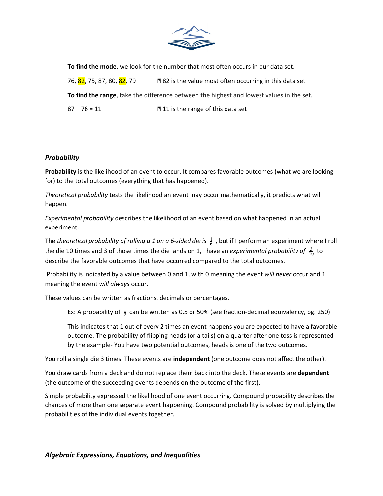

**To find the mode**, we look for the number that most often occurs in our data set. 76,  $\frac{82}{75}$ , 75, 87, 80,  $\frac{82}{79}$  79 **82** is the value most often occurring in this data set **To find the range**, take the difference between the highest and lowest values in the set.

 $87 - 76 = 11$   $211$  is the range of this data set

## *Probability*

**Probability** is the likelihood of an event to occur. It compares favorable outcomes (what we are looking for) to the total outcomes (everything that has happened).

*Theoretical probability* tests the likelihood an event may occur mathematically, it predicts what will happen.

*Experimental probability* describes the likelihood of an event based on what happened in an actual experiment.

The *theoretical probability of rolling a 1 on a 6-sided die is* , but if I perform an experiment where I roll <sup>6</sup> 1 the die 10 times and 3 of those times the die lands on 1, I have an *experimental probability of*  $\frac{3}{10}$  to describe the favorable outcomes that have occurred compared to the total outcomes.

Probability is indicated by a value between 0 and 1, with 0 meaning the event *will never* occur and 1 meaning the event *will always* occur.

These values can be written as fractions, decimals or percentages.

Ex: A probability of  $\frac{1}{2}$  can be written as 0.5 or 50% (see fraction-decimal equivalency, pg. 250)

This indicates that 1 out of every 2 times an event happens you are expected to have a favorable outcome. The probability of flipping heads (or a tails) on a quarter after one toss is represented by the example- You have two potential outcomes, heads is one of the two outcomes.

You roll a single die 3 times. These events are **independent** (one outcome does not affect the other).

You draw cards from a deck and do not replace them back into the deck. These events are **dependent** (the outcome of the succeeding events depends on the outcome of the first).

Simple probability expressed the likelihood of one event occurring. Compound probability describes the chances of more than one separate event happening. Compound probability is solved by multiplying the probabilities of the individual events together.

## *Algebraic Expressions, Equations, and Inequalities*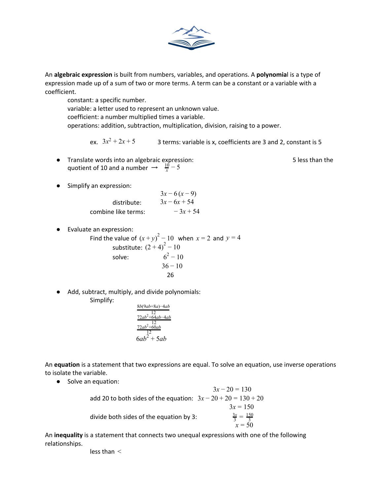

An **algebraic expression** is built from numbers, variables, and operations. A **polynomia**l is a type of expression made up of a sum of two or more terms. A term can be a constant or a variable with a coefficient.

constant: a specific number. variable: a letter used to represent an unknown value. coefficient: a number multiplied times a variable. operations: addition, subtraction, multiplication, division, raising to a power.

ex.  $3x^2 + 2x + 5$ 3 terms: variable is x, coefficients are 3 and 2, constant is 5

● Translate words into an algebraic expression: 5 less than the quotient of 10 and a number  $\rightarrow \frac{10}{x} - 5$ 

● Simplify an expression:

|                     | $3x-6(x-9)$    |
|---------------------|----------------|
| distribute:         | $3x - 6x + 54$ |
| combine like terms: | $-3x+54$       |

● Evaluate an expression:

Find the value of  $(x+y)^2 - 10$  when  $x = 2$  and  $y = 4$ substitute:  $(2 + 4)^{2} - 10$ solve:  $6^2 - 10$  $36 - 10$ 26

● Add, subtract, multiply, and divide polynomials: Simplify:

$$
\frac{8b(9ab+8a)-4ab}{12}
$$
\n
$$
\frac{72ab^2+64ab-4ab}{12}
$$
\n
$$
\frac{72ab^2+60ab}{12}
$$
\n
$$
6ab^2+5ab
$$

An **equation** is a statement that two expressions are equal. To solve an equation, use inverse operations to isolate the variable.

● Solve an equation:

 $3x - 20 = 130$ add 20 to both sides of the equation:  $3x - 20 + 20 = 130 + 20$  $3x = 150$ divide both sides of the equation by 3:  $rac{3x}{3} = \frac{150}{3}$ *x* = 50

An **inequality** is a statement that connects two unequal expressions with one of the following relationships.

less than <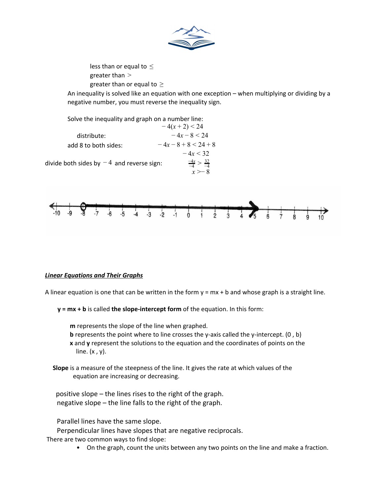

less than or equal to  $\leq$ greater than > greater than or equal to  $\geq$ 

An inequality is solved like an equation with one exception – when multiplying or dividing by a negative number, you must reverse the inequality sign.





## *Linear Equations and Their Graphs*

A linear equation is one that can be written in the form  $y = mx + b$  and whose graph is a straight line.

**y = mx + b** is called **the slope-intercept form** of the equation. In this form:

**m** represents the slope of the line when graphed.

**b** represents the point where to line crosses the y-axis called the y-intercept.  $(0, b)$ **x** and **y** represent the solutions to the equation and the coordinates of points on the line.  $(x, y)$ .

**Slope** is a measure of the steepness of the line. It gives the rate at which values of the equation are increasing or decreasing.

positive slope – the lines rises to the right of the graph. negative slope – the line falls to the right of the graph.

Parallel lines have the same slope.

Perpendicular lines have slopes that are negative reciprocals.

There are two common ways to find slope:

• On the graph, count the units between any two points on the line and make a fraction.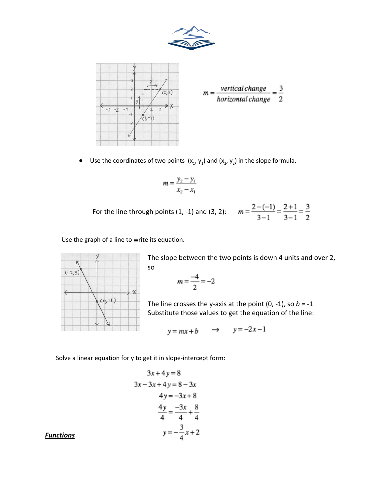



• Use the coordinates of two points  $(x_1, y_1)$  and  $(x_2, y_2)$  in the slope formula.

$$
m = \frac{y_2 - y_1}{x_2 - x_1}
$$

For the line through points (1, -1) and (3, 2):  $m = \frac{2 - (-1)}{3 - 1} = \frac{2 + 1}{3 - 1} = \frac{3}{2}$ 

Use the graph of a line to write its equation.



The slope between the two points is down 4 units and over 2, so

$$
m=\frac{-4}{2}=-2
$$

The line crosses the y-axis at the point (0, -1), so *b =* -1 Substitute those values to get the equation of the line:

$$
y = mx + b \qquad \Rightarrow \qquad y = -2x - 1
$$

Solve a linear equation for y to get it in slope-intercept form:

$$
3x + 4y = 8
$$
  
\n
$$
3x - 3x + 4y = 8 - 3x
$$
  
\n
$$
4y = -3x + 8
$$
  
\n
$$
\frac{4y}{4} = \frac{-3x}{4} + \frac{8}{4}
$$
  
\n
$$
y = -\frac{3}{4}x + 2
$$

*Functions*